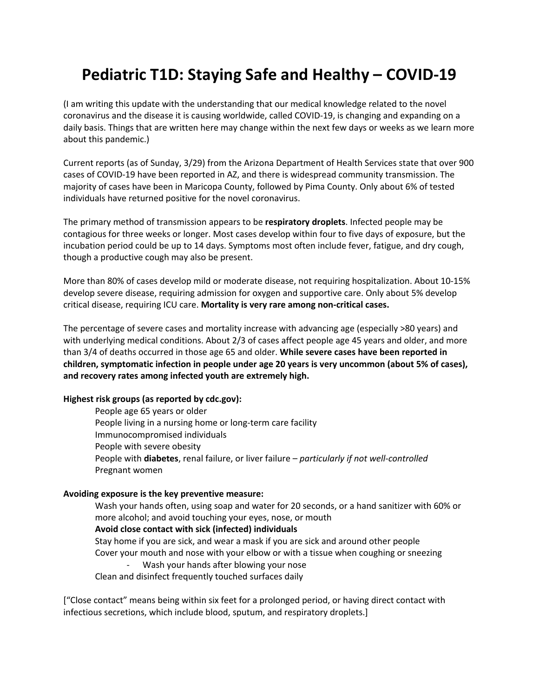## **Pediatric T1D: Staying Safe and Healthy – COVID-19**

(I am writing this update with the understanding that our medical knowledge related to the novel coronavirus and the disease it is causing worldwide, called COVID-19, is changing and expanding on a daily basis. Things that are written here may change within the next few days or weeks as we learn more about this pandemic.)

Current reports (as of Sunday, 3/29) from the Arizona Department of Health Services state that over 900 cases of COVID-19 have been reported in AZ, and there is widespread community transmission. The majority of cases have been in Maricopa County, followed by Pima County. Only about 6% of tested individuals have returned positive for the novel coronavirus.

The primary method of transmission appears to be **respiratory droplets**. Infected people may be contagious for three weeks or longer. Most cases develop within four to five days of exposure, but the incubation period could be up to 14 days. Symptoms most often include fever, fatigue, and dry cough, though a productive cough may also be present.

More than 80% of cases develop mild or moderate disease, not requiring hospitalization. About 10-15% develop severe disease, requiring admission for oxygen and supportive care. Only about 5% develop critical disease, requiring ICU care. **Mortality is very rare among non-critical cases.**

The percentage of severe cases and mortality increase with advancing age (especially >80 years) and with underlying medical conditions. About 2/3 of cases affect people age 45 years and older, and more than 3/4 of deaths occurred in those age 65 and older. **While severe cases have been reported in children, symptomatic infection in people under age 20 years is very uncommon (about 5% of cases), and recovery rates among infected youth are extremely high.**

## **Highest risk groups (as reported by cdc.gov):**

People age 65 years or older People living in a nursing home or long-term care facility Immunocompromised individuals People with severe obesity People with **diabetes**, renal failure, or liver failure – *particularly if not well-controlled* Pregnant women

## **Avoiding exposure is the key preventive measure:**

Wash your hands often, using soap and water for 20 seconds, or a hand sanitizer with 60% or more alcohol; and avoid touching your eyes, nose, or mouth **Avoid close contact with sick (infected) individuals** Stay home if you are sick, and wear a mask if you are sick and around other people Cover your mouth and nose with your elbow or with a tissue when coughing or sneezing Wash your hands after blowing your nose

Clean and disinfect frequently touched surfaces daily

["Close contact" means being within six feet for a prolonged period, or having direct contact with infectious secretions, which include blood, sputum, and respiratory droplets.]